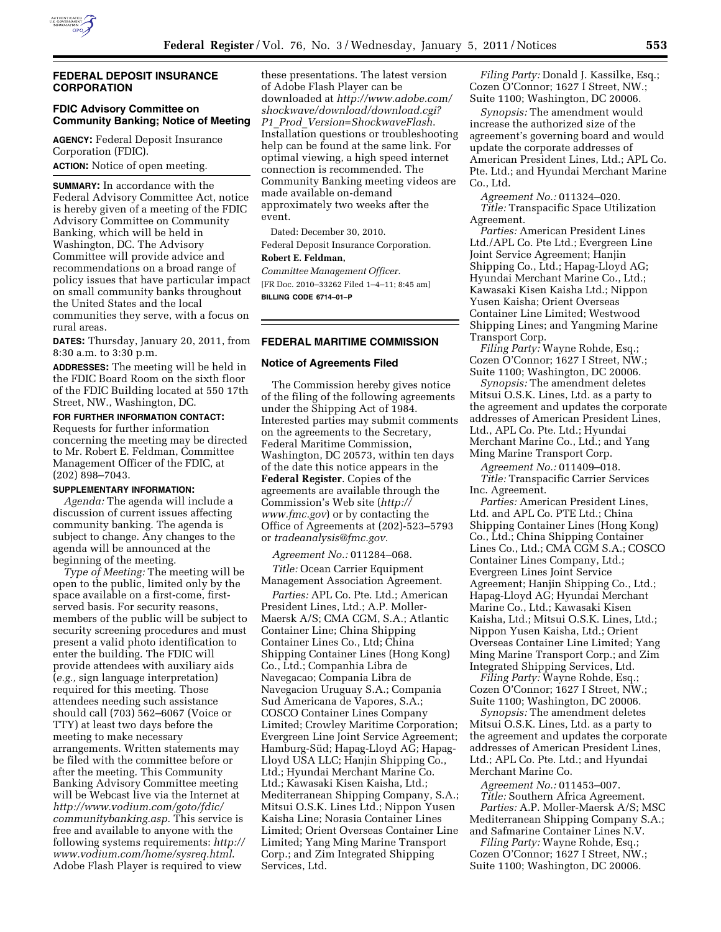

## **FEDERAL DEPOSIT INSURANCE CORPORATION**

## **FDIC Advisory Committee on Community Banking; Notice of Meeting**

**AGENCY:** Federal Deposit Insurance Corporation (FDIC). **ACTION:** Notice of open meeting.

**SUMMARY:** In accordance with the Federal Advisory Committee Act, notice is hereby given of a meeting of the FDIC Advisory Committee on Community Banking, which will be held in Washington, DC. The Advisory Committee will provide advice and recommendations on a broad range of policy issues that have particular impact on small community banks throughout the United States and the local communities they serve, with a focus on rural areas.

**DATES:** Thursday, January 20, 2011, from 8:30 a.m. to 3:30 p.m.

**ADDRESSES:** The meeting will be held in the FDIC Board Room on the sixth floor of the FDIC Building located at 550 17th Street, NW., Washington, DC.

# **FOR FURTHER INFORMATION CONTACT:**

Requests for further information concerning the meeting may be directed to Mr. Robert E. Feldman, Committee Management Officer of the FDIC, at (202) 898–7043.

#### **SUPPLEMENTARY INFORMATION:**

*Agenda:* The agenda will include a discussion of current issues affecting community banking. The agenda is subject to change. Any changes to the agenda will be announced at the beginning of the meeting.

*Type of Meeting:* The meeting will be open to the public, limited only by the space available on a first-come, firstserved basis. For security reasons, members of the public will be subject to security screening procedures and must present a valid photo identification to enter the building. The FDIC will provide attendees with auxiliary aids (*e.g.,* sign language interpretation) required for this meeting. Those attendees needing such assistance should call (703) 562–6067 (Voice or TTY) at least two days before the meeting to make necessary arrangements. Written statements may be filed with the committee before or after the meeting. This Community Banking Advisory Committee meeting will be Webcast live via the Internet at *[http://www.vodium.com/goto/fdic/](http://www.vodium.com/goto/fdic/communitybanking.asp) [communitybanking.asp](http://www.vodium.com/goto/fdic/communitybanking.asp)*. This service is free and available to anyone with the following systems requirements: *[http://](http://www.vodium.com/home/sysreq.html)  [www.vodium.com/home/sysreq.html](http://www.vodium.com/home/sysreq.html)*. Adobe Flash Player is required to view

these presentations. The latest version of Adobe Flash Player can be downloaded at *[http://www.adobe.com/](http://www.adobe.com/shockwave/download/download.cgi?P1_Prod_Version=ShockwaveFlash) [shockwave/download/download.cgi?](http://www.adobe.com/shockwave/download/download.cgi?P1_Prod_Version=ShockwaveFlash) P1*\_*Prod*\_*[Version=ShockwaveFlash](http://www.adobe.com/shockwave/download/download.cgi?P1_Prod_Version=ShockwaveFlash)*. Installation questions or troubleshooting help can be found at the same link. For optimal viewing, a high speed internet connection is recommended. The Community Banking meeting videos are made available on-demand approximately two weeks after the event.

Dated: December 30, 2010. Federal Deposit Insurance Corporation. **Robert E. Feldman,** 

*Committee Management Officer.*  [FR Doc. 2010–33262 Filed 1–4–11; 8:45 am] **BILLING CODE 6714–01–P** 

# **FEDERAL MARITIME COMMISSION**

## **Notice of Agreements Filed**

The Commission hereby gives notice of the filing of the following agreements under the Shipping Act of 1984. Interested parties may submit comments on the agreements to the Secretary, Federal Maritime Commission, Washington, DC 20573, within ten days of the date this notice appears in the **Federal Register**. Copies of the agreements are available through the Commission's Web site (*[http://](http://www.fmc.gov)  [www.fmc.gov](http://www.fmc.gov)*) or by contacting the Office of Agreements at (202)-523–5793 or *[tradeanalysis@fmc.gov.](mailto:tradeanalysis@fmc.gov)* 

*Agreement No.:* 011284–068.

*Title:* Ocean Carrier Equipment Management Association Agreement.

*Parties:* APL Co. Pte. Ltd.; American President Lines, Ltd.; A.P. Moller-Maersk A/S; CMA CGM, S.A.; Atlantic Container Line; China Shipping Container Lines Co., Ltd; China Shipping Container Lines (Hong Kong) Co., Ltd.; Companhia Libra de Navegacao; Compania Libra de Navegacion Uruguay S.A.; Compania Sud Americana de Vapores, S.A.; COSCO Container Lines Company Limited; Crowley Maritime Corporation; Evergreen Line Joint Service Agreement; Hamburg-Süd; Hapag-Lloyd AG; Hapag-Lloyd USA LLC; Hanjin Shipping Co., Ltd.; Hyundai Merchant Marine Co. Ltd.; Kawasaki Kisen Kaisha, Ltd.; Mediterranean Shipping Company, S.A.; Mitsui O.S.K. Lines Ltd.; Nippon Yusen Kaisha Line; Norasia Container Lines Limited; Orient Overseas Container Line Limited; Yang Ming Marine Transport Corp.; and Zim Integrated Shipping Services, Ltd.

*Filing Party:* Donald J. Kassilke, Esq.; Cozen O'Connor; 1627 I Street, NW.; Suite 1100; Washington, DC 20006.

*Synopsis:* The amendment would increase the authorized size of the agreement's governing board and would update the corporate addresses of American President Lines, Ltd.; APL Co. Pte. Ltd.; and Hyundai Merchant Marine Co., Ltd.

*Agreement No.:* 011324–020. *Title:* Transpacific Space Utilization Agreement.

*Parties:* American President Lines Ltd./APL Co. Pte Ltd.; Evergreen Line Joint Service Agreement; Hanjin Shipping Co., Ltd.; Hapag-Lloyd AG; Hyundai Merchant Marine Co., Ltd.; Kawasaki Kisen Kaisha Ltd.; Nippon Yusen Kaisha; Orient Overseas Container Line Limited; Westwood Shipping Lines; and Yangming Marine Transport Corp.

*Filing Party:* Wayne Rohde, Esq.; Cozen O'Connor; 1627 I Street, NW.; Suite 1100; Washington, DC 20006.

*Synopsis:* The amendment deletes Mitsui O.S.K. Lines, Ltd. as a party to the agreement and updates the corporate addresses of American President Lines, Ltd., APL Co. Pte. Ltd.; Hyundai Merchant Marine Co., Ltd.; and Yang Ming Marine Transport Corp.

*Agreement No.:* 011409–018. *Title:* Transpacific Carrier Services Inc. Agreement.

*Parties:* American President Lines, Ltd. and APL Co. PTE Ltd.; China Shipping Container Lines (Hong Kong) Co., Ltd.; China Shipping Container Lines Co., Ltd.; CMA CGM S.A.; COSCO Container Lines Company, Ltd.; Evergreen Lines Joint Service Agreement; Hanjin Shipping Co., Ltd.; Hapag-Lloyd AG; Hyundai Merchant Marine Co., Ltd.; Kawasaki Kisen Kaisha, Ltd.; Mitsui O.S.K. Lines, Ltd.; Nippon Yusen Kaisha, Ltd.; Orient Overseas Container Line Limited; Yang Ming Marine Transport Corp.; and Zim Integrated Shipping Services, Ltd.

*Filing Party:* Wayne Rohde, Esq.; Cozen O'Connor; 1627 I Street, NW.; Suite 1100; Washington, DC 20006.

*Synopsis:* The amendment deletes Mitsui O.S.K. Lines, Ltd. as a party to the agreement and updates the corporate addresses of American President Lines, Ltd.; APL Co. Pte. Ltd.; and Hyundai Merchant Marine Co.

*Agreement No.:* 011453–007. *Title:* Southern Africa Agreement. *Parties:* A.P. Moller-Maersk A/S; MSC Mediterranean Shipping Company S.A.; and Safmarine Container Lines N.V.

*Filing Party:* Wayne Rohde, Esq.; Cozen O'Connor; 1627 I Street, NW.; Suite 1100; Washington, DC 20006.